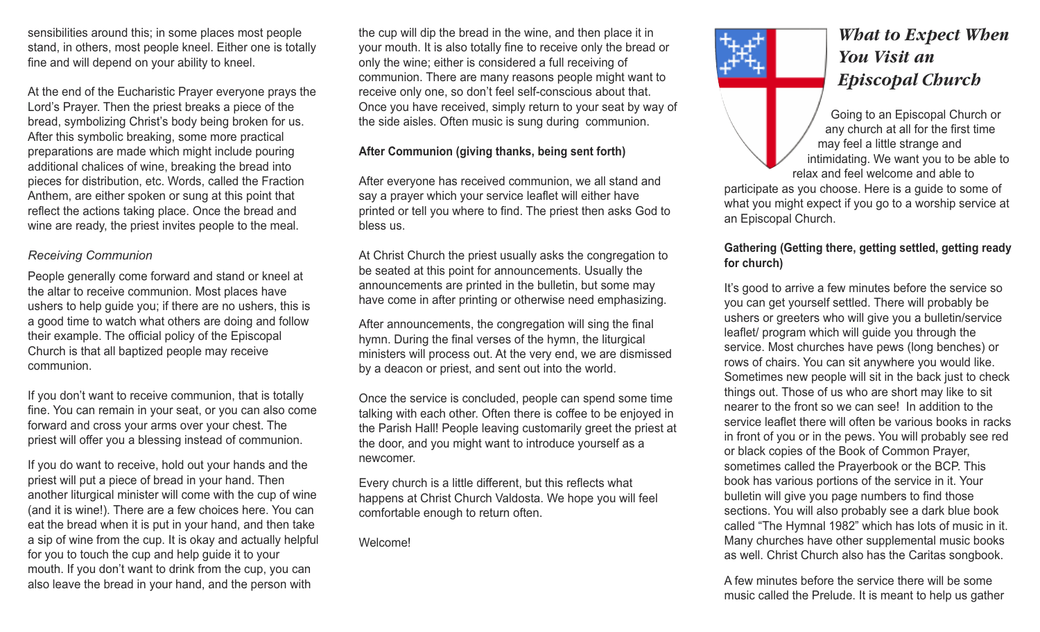sensibilities around this; in some places most people stand, in others, most people kneel. Either one is totally fine and will depend on your ability to kneel.

At the end of the Eucharistic Prayer everyone prays the Lord's Prayer. Then the priest breaks a piece of the bread, symbolizing Christ's body being broken for us. After this symbolic breaking, some more practical preparations are made which might include pouring additional chalices of wine, breaking the bread into pieces for distribution, etc. Words, called the Fraction Anthem, are either spoken or sung at this point that reflect the actions taking place. Once the bread and wine are ready, the priest invites people to the meal.

#### *Receiving Communion*

People generally come forward and stand or kneel at the altar to receive communion. Most places have ushers to help guide you; if there are no ushers, this is a good time to watch what others are doing and follow their example. The official policy of the Episcopal Church is that all baptized people may receive communion.

If you don't want to receive communion, that is totally fine. You can remain in your seat, or you can also come forward and cross your arms over your chest. The priest will offer you a blessing instead of communion.

If you do want to receive, hold out your hands and the priest will put a piece of bread in your hand. Then another liturgical minister will come with the cup of wine (and it is wine!). There are a few choices here. You can eat the bread when it is put in your hand, and then take a sip of wine from the cup. It is okay and actually helpful for you to touch the cup and help guide it to your mouth. If you don't want to drink from the cup, you can also leave the bread in your hand, and the person with

the cup will dip the bread in the wine, and then place it in your mouth. It is also totally fine to receive only the bread or only the wine; either is considered a full receiving of communion. There are many reasons people might want to receive only one, so don't feel self-conscious about that. Once you have received, simply return to your seat by way of the side aisles. Often music is sung during communion.

### **After Communion (giving thanks, being sent forth)**

After everyone has received communion, we all stand and say a prayer which your service leaflet will either have printed or tell you where to find. The priest then asks God to bless us.

At Christ Church the priest usually asks the congregation to be seated at this point for announcements. Usually the announcements are printed in the bulletin, but some may have come in after printing or otherwise need emphasizing.

After announcements, the congregation will sing the final hymn. During the final verses of the hymn, the liturgical ministers will process out. At the very end, we are dismissed by a deacon or priest, and sent out into the world.

Once the service is concluded, people can spend some time talking with each other. Often there is coffee to be enjoyed in the Parish Hall! People leaving customarily greet the priest at the door, and you might want to introduce yourself as a newcomer.

Every church is a little different, but this reflects what happens at Christ Church Valdosta. We hope you will feel comfortable enough to return often.

Welcome!



# *What to Expect When You Visit an Episcopal Church*

Going to an Episcopal Church or any church at all for the first time may feel a little strange and intimidating. We want you to be able to relax and feel welcome and able to

participate as you choose. Here is a guide to some of what you might expect if you go to a worship service at an Episcopal Church.

## **Gathering (Getting there, getting settled, getting ready for church)**

It's good to arrive a few minutes before the service so you can get yourself settled. There will probably be ushers or greeters who will give you a bulletin/service leaflet/ program which will guide you through the service. Most churches have pews (long benches) or rows of chairs. You can sit anywhere you would like. Sometimes new people will sit in the back just to check things out. Those of us who are short may like to sit nearer to the front so we can see! In addition to the service leaflet there will often be various books in racks in front of you or in the pews. You will probably see red or black copies of the Book of Common Prayer, sometimes called the Prayerbook or the BCP. This book has various portions of the service in it. Your bulletin will give you page numbers to find those sections. You will also probably see a dark blue book called "The Hymnal 1982" which has lots of music in it. Many churches have other supplemental music books as well. Christ Church also has the Caritas songbook.

A few minutes before the service there will be some music called the Prelude. It is meant to help us gather